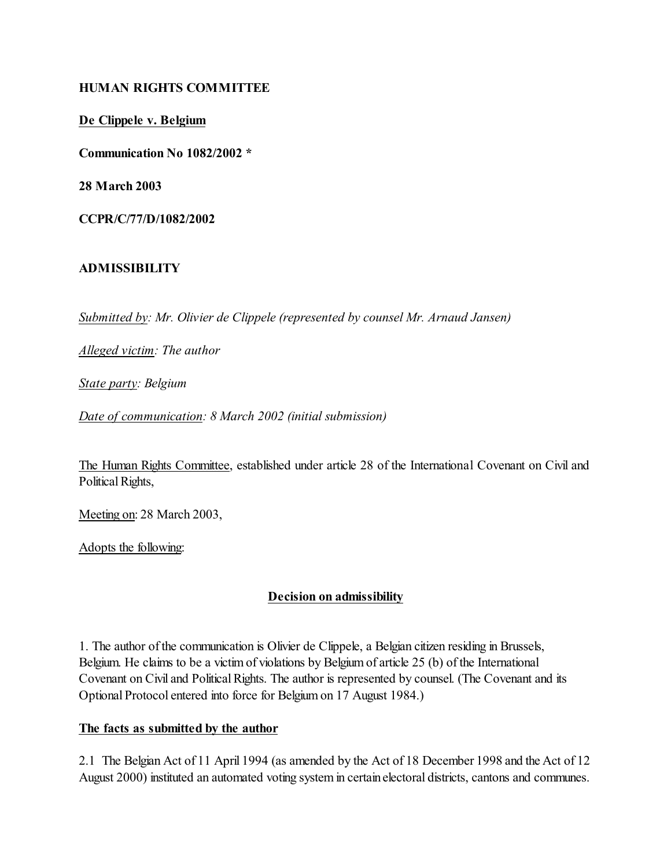### **HUMAN RIGHTS COMMITTEE**

**De Clippele v. Belgium**

**Communication No 1082/2002 \***

**28 March 2003**

**CCPR/C/77/D/1082/2002**

## **ADMISSIBILITY**

*Submitted by: Mr. Olivier de Clippele (represented by counsel Mr. Arnaud Jansen)* 

*Alleged victim: The author* 

*State party: Belgium* 

*Date of communication: 8 March 2002 (initial submission)* 

The Human Rights Committee, established under article 28 of the International Covenant on Civil and Political Rights,

Meeting on: 28 March 2003,

Adopts the following:

## **Decision on admissibility**

1. The author of the communication is Olivier de Clippele, a Belgian citizen residing in Brussels, Belgium. He claims to be a victim of violations by Belgium of article 25 (b) of the International Covenant on Civil and Political Rights. The author is represented by counsel. (The Covenant and its Optional Protocol entered into force for Belgium on 17 August 1984.)

## **The facts as submitted by the author**

2.1 The Belgian Act of 11 April 1994 (as amended by the Act of 18 December 1998 and the Act of 12 August 2000) instituted an automated voting system in certainelectoral districts, cantons and communes.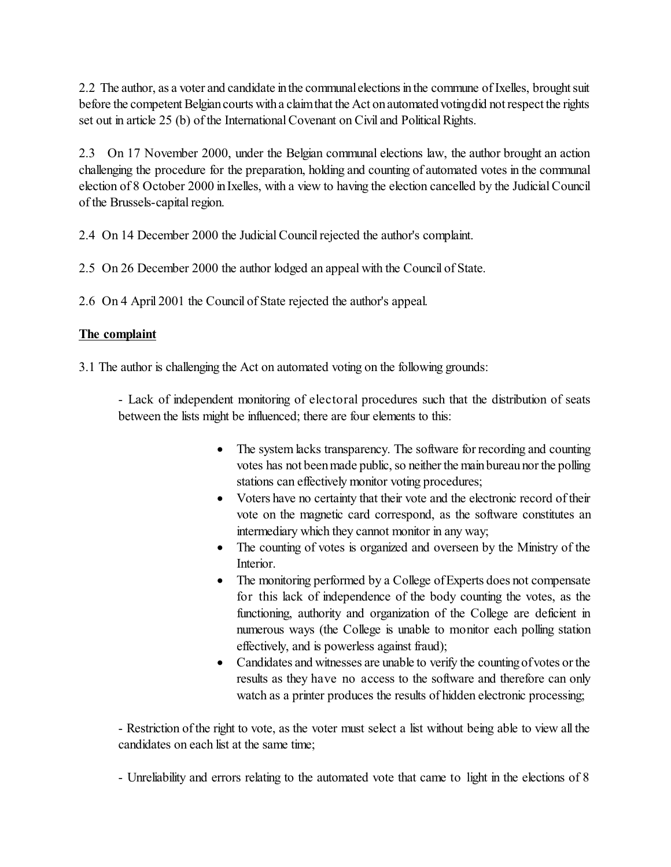2.2 The author, as a voter and candidate in the communal elections in the commune of Ixelles, brought suit before the competent Belgian courts with a claim that the Act on automatedvotingdid not respect the rights set out in article 25 (b) of the International Covenant on Civil and Political Rights.

2.3 On 17 November 2000, under the Belgian communal elections law, the author brought an action challenging the procedure for the preparation, holding and counting of automated votes in the communal election of 8 October 2000 in Ixelles, with a view to having the election cancelled by the Judicial Council of the Brussels-capital region.

2.4 On 14 December 2000 the Judicial Council rejected the author's complaint.

2.5 On 26 December 2000 the author lodged an appeal with the Council of State.

2.6 On 4 April 2001 the Council of State rejected the author's appeal.

## **The complaint**

3.1 The author is challenging the Act on automated voting on the following grounds:

- Lack of independent monitoring of electoral procedures such that the distribution of seats between the lists might be influenced; there are four elements to this:

> The system lacks transparency. The software for recording and counting votes has not been made public, so neither the main bureau nor the polling stations can effectively monitor voting procedures;

> Voters have no certainty that their vote and the electronic record of their vote on the magnetic card correspond, as the software constitutes an intermediary which they cannot monitor in any way;

> The counting of votes is organized and overseen by the Ministry of the Interior.

> The monitoring performed by a College ofExperts does not compensate for this lack of independence of the body counting the votes, as the functioning, authority and organization of the College are deficient in numerous ways (the College is unable to monitor each polling station effectively, and is powerless against fraud);

> Candidates and witnesses are unable to verify the counting of votes or the results as they have no access to the software and therefore can only watch as a printer produces the results of hidden electronic processing;

- Restriction of the right to vote, as the voter must select a list without being able to view all the candidates on each list at the same time;

- Unreliability and errors relating to the automated vote that came to light in the elections of 8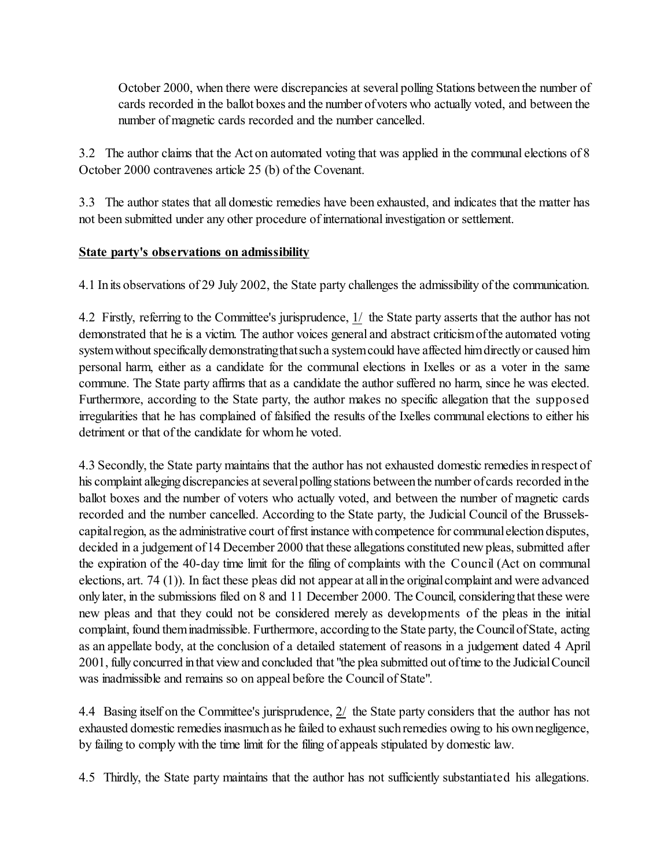October 2000, when there were discrepancies at several polling Stations betweenthe number of cards recorded in the ballot boxes and the number ofvoters who actually voted, and between the number of magnetic cards recorded and the number cancelled.

3.2 The author claims that the Act on automated voting that was applied in the communal elections of 8 October 2000 contravenes article 25 (b) of the Covenant.

3.3 The author states that all domestic remedies have been exhausted, and indicates that the matter has not been submitted under any other procedure of international investigation or settlement.

## **State party's observations on admissibility**

4.1 Inits observations of 29 July 2002, the State party challenges the admissibility of the communication.

4.2 Firstly, referring to the Committee's jurisprudence, 1/ the State party asserts that the author has not demonstrated that he is a victim. The author voices general and abstract criticismofthe automated voting system without specifically demonstratingthatsuch a system could have affected him directly or caused him personal harm, either as a candidate for the communal elections in Ixelles or as a voter in the same commune. The State party affirms that as a candidate the author suffered no harm, since he was elected. Furthermore, according to the State party, the author makes no specific allegation that the supposed irregularities that he has complained of falsified the results of the Ixelles communal elections to either his detriment or that of the candidate for whom he voted.

4.3 Secondly, the State party maintains that the author has not exhausted domestic remedies in respect of his complaint alleging discrepancies at several polling stations between the number of cards recorded in the ballot boxes and the number of voters who actually voted, and between the number of magnetic cards recorded and the number cancelled. According to the State party, the Judicial Council of the Brusselscapital region, as the administrative court of first instance with competence for communal election disputes, decided in a judgement of 14 December 2000 that these allegations constituted new pleas, submitted after the expiration of the 40-day time limit for the filing of complaints with the Council (Act on communal elections, art. 74 (1)). In fact these pleas did not appear at all in the original complaint and were advanced onlylater, in the submissions filed on 8 and 11 December 2000. The Council, consideringthat these were new pleas and that they could not be considered merely as developments of the pleas in the initial complaint, found them inadmissible. Furthermore, according to the State party, the Council of State, acting as an appellate body, at the conclusion of a detailed statement of reasons in a judgement dated 4 April 2001, fully concurred in that view and concluded that "the plea submitted out of time to the Judicial Council was inadmissible and remains so on appeal before the Council of State".

4.4 Basing itself on the Committee's jurisprudence, 2/ the State party considers that the author has not exhausted domestic remedies inasmuch as he failed to exhaust such remedies owing to his own negligence, by failing to comply with the time limit for the filing of appeals stipulated by domestic law.

4.5 Thirdly, the State party maintains that the author has not sufficiently substantiated his allegations.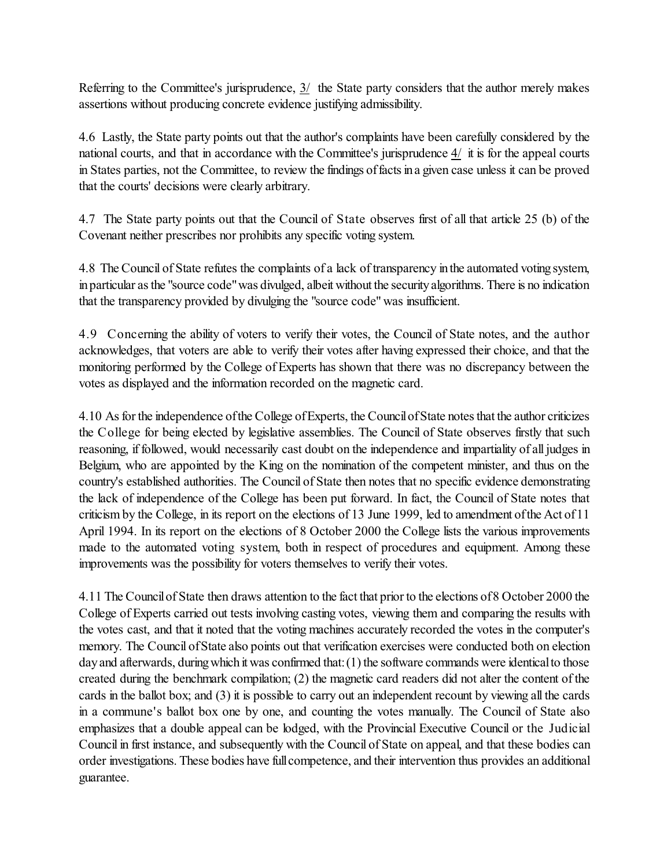Referring to the Committee's jurisprudence, 3/ the State party considers that the author merely makes assertions without producing concrete evidence justifying admissibility.

4.6 Lastly, the State party points out that the author's complaints have been carefully considered by the national courts, and that in accordance with the Committee's jurisprudence 4/ it is for the appeal courts in States parties, not the Committee, to review the findings offactsina given case unless it can be proved that the courts' decisions were clearly arbitrary.

4.7 The State party points out that the Council of State observes first of all that article 25 (b) of the Covenant neither prescribes nor prohibits any specific voting system.

4.8 The Council of State refutes the complaints of a lack of transparency inthe automated votingsystem, in particular as the "source code" was divulged, albeit without the security algorithms. There is no indication that the transparency provided by divulging the "source code" was insufficient.

4.9 Concerning the ability of voters to verify their votes, the Council of State notes, and the author acknowledges, that voters are able to verify their votes after having expressed their choice, and that the monitoring performed by the College of Experts has shown that there was no discrepancy between the votes as displayed and the information recorded on the magnetic card.

4.10 As for the independence of the College of Experts, the Council of State notes that the author criticizes the College for being elected by legislative assemblies. The Council of State observes firstly that such reasoning, if followed, would necessarily cast doubt on the independence and impartiality of all judges in Belgium, who are appointed by the King on the nomination of the competent minister, and thus on the country's established authorities. The Council of State then notes that no specific evidence demonstrating the lack of independence of the College has been put forward. In fact, the Council of State notes that criticism by the College, in its report on the elections of 13 June 1999, led to amendment of the Act of 11 April 1994. In its report on the elections of 8 October 2000 the College lists the various improvements made to the automated voting system, both in respect of procedures and equipment. Among these improvements was the possibility for voters themselves to verify their votes.

4.11 The Council of State then draws attention to the fact that prior to the elections of 8 October 2000 the College of Experts carried out tests involving casting votes, viewing them and comparing the results with the votes cast, and that it noted that the voting machines accurately recorded the votes in the computer's memory. The Council ofState also points out that verification exercises were conducted both on election day and afterwards, during which it was confirmed that: (1) the software commands were identical to those created during the benchmark compilation; (2) the magnetic card readers did not alter the content of the cards in the ballot box; and (3) it is possible to carry out an independent recount by viewing all the cards in a commune's ballot box one by one, and counting the votes manually. The Council of State also emphasizes that a double appeal can be lodged, with the Provincial Executive Council or the Judicial Council in first instance, and subsequently with the Council of State on appeal, and that these bodies can order investigations. These bodies have full competence, and their intervention thus provides an additional guarantee.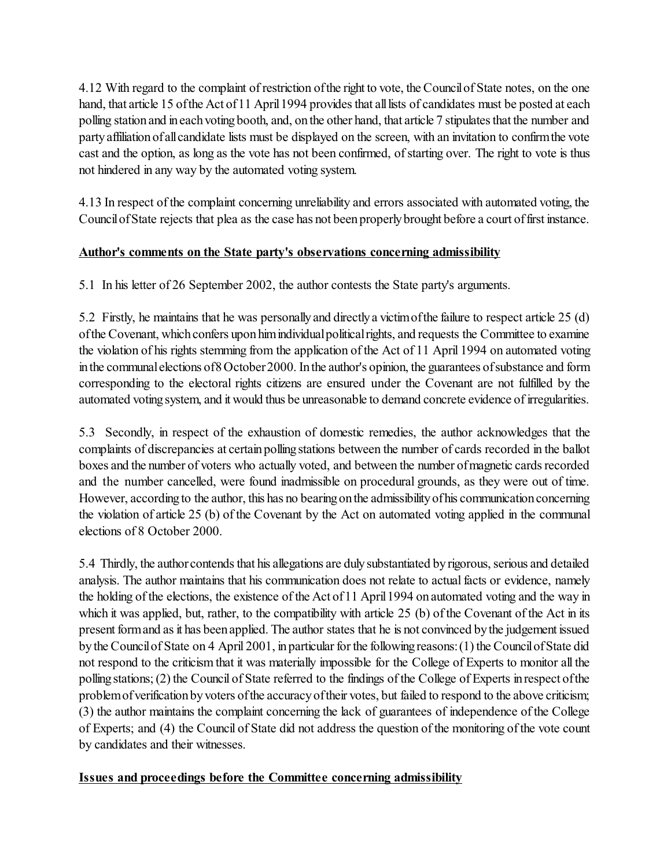4.12 With regard to the complaint of restriction ofthe right to vote, the Councilof State notes, on the one hand, that article 15 of the Act of 11 April 1994 provides that all lists of candidates must be posted at each polling station and in each voting booth, and, on the other hand, that article 7 stipulates that the number and partyaffiliationofallcandidate lists must be displayed on the screen, with an invitation to confirmthe vote cast and the option, as long as the vote has not been confirmed, of starting over. The right to vote is thus not hindered in any way by the automated voting system.

4.13 In respect of the complaint concerning unreliability and errors associated with automated voting, the Council of State rejects that plea as the case has not been properly brought before a court of first instance.

## **Author's comments on the State party's observations concerning admissibility**

5.1 In his letter of 26 September 2002, the author contests the State party's arguments.

5.2 Firstly, he maintains that he was personallyand directlya victimofthe failure to respect article 25 (d) of the Covenant, which confers upon him individual political rights, and requests the Committee to examine the violation of his rights stemming from the application of the Act of 11 April 1994 on automated voting in the communal elections of8October 2000. In the author's opinion, the guarantees of substance and form corresponding to the electoral rights citizens are ensured under the Covenant are not fulfilled by the automated voting system, and it would thus be unreasonable to demand concrete evidence of irregularities.

5.3 Secondly, in respect of the exhaustion of domestic remedies, the author acknowledges that the complaints of discrepancies at certain polling stations between the number of cards recorded in the ballot boxes and the number of voters who actually voted, and between the number ofmagnetic cards recorded and the number cancelled, were found inadmissible on procedural grounds, as they were out of time. However, according to the author, this has no bearing on the admissibility of his communication concerning the violation of article 25 (b) of the Covenant by the Act on automated voting applied in the communal elections of 8 October 2000.

5.4 Thirdly, the authorcontends that his allegations are duly substantiated by rigorous, serious and detailed analysis. The author maintains that his communication does not relate to actual facts or evidence, namely the holding of the elections, the existence of the Act of 11 April 1994 on automated voting and the way in which it was applied, but, rather, to the compatibility with article 25 (b) of the Covenant of the Act in its present form and as it has been applied. The author states that he is not convinced by the judgement issued by the Council of State on 4 April 2001, in particular for the following reasons: (1) the Council of State did not respond to the criticism that it was materially impossible for the College of Experts to monitor all the polling stations; (2) the Council of State referred to the findings of the College of Experts in respect of the problem of verification by voters of the accuracy of their votes, but failed to respond to the above criticism; (3) the author maintains the complaint concerning the lack of guarantees of independence of the College of Experts; and (4) the Council of State did not address the question of the monitoring of the vote count by candidates and their witnesses.

## **Issues and proceedings before the Committee concerning admissibility**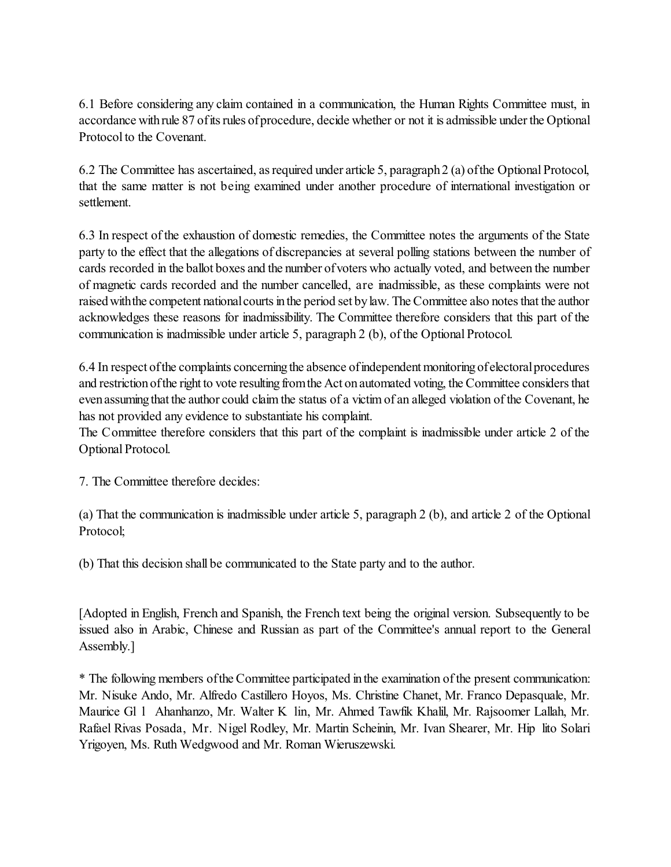6.1 Before considering any claim contained in a communication, the Human Rights Committee must, in accordance with rule 87 of its rules of procedure, decide whether or not it is admissible under the Optional Protocol to the Covenant.

6.2 The Committee has ascertained, as required under article 5, paragraph 2 (a) of the Optional Protocol, that the same matter is not being examined under another procedure of international investigation or settlement.

6.3 In respect of the exhaustion of domestic remedies, the Committee notes the arguments of the State party to the effect that the allegations of discrepancies at several polling stations between the number of cards recorded in the ballot boxes and the number ofvoters who actually voted, and between the number of magnetic cards recorded and the number cancelled, are inadmissible, as these complaints were not raised withthe competent national courts in the period set by law. The Committee also notes that the author acknowledges these reasons for inadmissibility. The Committee therefore considers that this part of the communication is inadmissible under article 5, paragraph 2 (b), of the Optional Protocol.

6.4 In respect of the complaints concerning the absence of independent monitoring of electoral procedures and restriction of the right to vote resulting from the Act on automated voting, the Committee considers that even assuming that the author could claim the status of a victim of an alleged violation of the Covenant, he has not provided any evidence to substantiate his complaint.

The Committee therefore considers that this part of the complaint is inadmissible under article 2 of the Optional Protocol.

7. The Committee therefore decides:

(a) That the communication is inadmissible under article 5, paragraph 2 (b), and article 2 of the Optional Protocol;

(b) That this decision shall be communicated to the State party and to the author.

[Adopted in English, French and Spanish, the French text being the original version. Subsequently to be issued also in Arabic, Chinese and Russian as part of the Committee's annual report to the General Assembly.]

\* The following members ofthe Committee participated inthe examination of the present communication: Mr. Nisuke Ando, Mr. Alfredo Castillero Hoyos, Ms. Christine Chanet, Mr. Franco Depasquale, Mr. Maurice Gl l Ahanhanzo, Mr. Walter K lin, Mr. Ahmed Tawfik Khalil, Mr. Rajsoomer Lallah, Mr. Rafael Rivas Posada, Mr. Nigel Rodley, Mr. Martin Scheinin, Mr. Ivan Shearer, Mr. Hip lito Solari Yrigoyen, Ms. Ruth Wedgwood and Mr. Roman Wieruszewski.